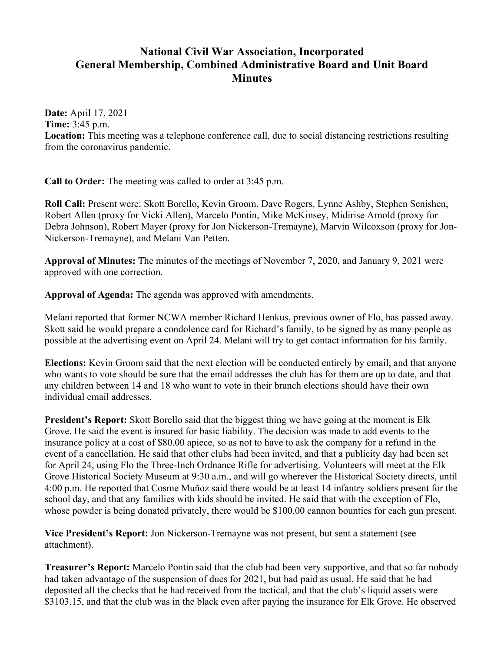## **National Civil War Association, Incorporated General Membership, Combined Administrative Board and Unit Board Minutes**

**Date:** April 17, 2021 **Time:** 3:45 p.m. **Location:** This meeting was a telephone conference call, due to social distancing restrictions resulting from the coronavirus pandemic.

**Call to Order:** The meeting was called to order at 3:45 p.m.

**Roll Call:** Present were: Skott Borello, Kevin Groom, Dave Rogers, Lynne Ashby, Stephen Senishen, Robert Allen (proxy for Vicki Allen), Marcelo Pontin, Mike McKinsey, Midirise Arnold (proxy for Debra Johnson), Robert Mayer (proxy for Jon Nickerson-Tremayne), Marvin Wilcoxson (proxy for Jon-Nickerson-Tremayne), and Melani Van Petten.

**Approval of Minutes:** The minutes of the meetings of November 7, 2020, and January 9, 2021 were approved with one correction.

**Approval of Agenda:** The agenda was approved with amendments.

Melani reported that former NCWA member Richard Henkus, previous owner of Flo, has passed away. Skott said he would prepare a condolence card for Richard's family, to be signed by as many people as possible at the advertising event on April 24. Melani will try to get contact information for his family.

**Elections:** Kevin Groom said that the next election will be conducted entirely by email, and that anyone who wants to vote should be sure that the email addresses the club has for them are up to date, and that any children between 14 and 18 who want to vote in their branch elections should have their own individual email addresses.

**President's Report:** Skott Borello said that the biggest thing we have going at the moment is Elk Grove. He said the event is insured for basic liability. The decision was made to add events to the insurance policy at a cost of \$80.00 apiece, so as not to have to ask the company for a refund in the event of a cancellation. He said that other clubs had been invited, and that a publicity day had been set for April 24, using Flo the Three-Inch Ordnance Rifle for advertising. Volunteers will meet at the Elk Grove Historical Society Museum at 9:30 a.m., and will go wherever the Historical Society directs, until 4:00 p.m. He reported that Cosme Muñoz said there would be at least 14 infantry soldiers present for the school day, and that any families with kids should be invited. He said that with the exception of Flo, whose powder is being donated privately, there would be \$100.00 cannon bounties for each gun present.

**Vice President's Report:** Jon Nickerson-Tremayne was not present, but sent a statement (see attachment).

**Treasurer's Report:** Marcelo Pontin said that the club had been very supportive, and that so far nobody had taken advantage of the suspension of dues for 2021, but had paid as usual. He said that he had deposited all the checks that he had received from the tactical, and that the club's liquid assets were \$3103.15, and that the club was in the black even after paying the insurance for Elk Grove. He observed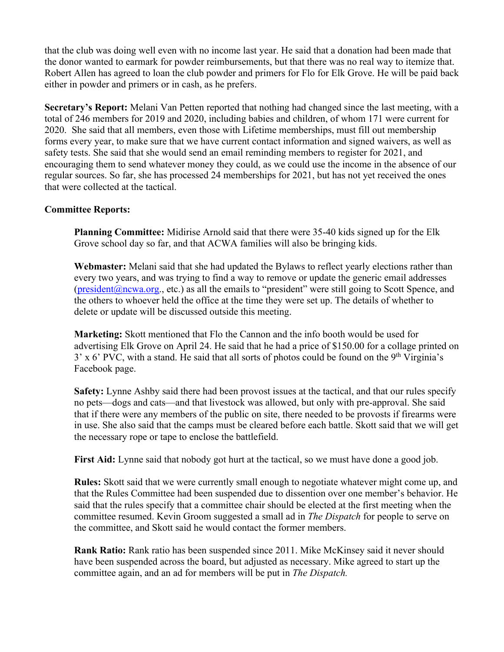that the club was doing well even with no income last year. He said that a donation had been made that the donor wanted to earmark for powder reimbursements, but that there was no real way to itemize that. Robert Allen has agreed to loan the club powder and primers for Flo for Elk Grove. He will be paid back either in powder and primers or in cash, as he prefers.

**Secretary's Report:** Melani Van Petten reported that nothing had changed since the last meeting, with a total of 246 members for 2019 and 2020, including babies and children, of whom 171 were current for 2020. She said that all members, even those with Lifetime memberships, must fill out membership forms every year, to make sure that we have current contact information and signed waivers, as well as safety tests. She said that she would send an email reminding members to register for 2021, and encouraging them to send whatever money they could, as we could use the income in the absence of our regular sources. So far, she has processed 24 memberships for 2021, but has not yet received the ones that were collected at the tactical.

## **Committee Reports:**

**Planning Committee:** Midirise Arnold said that there were 35-40 kids signed up for the Elk Grove school day so far, and that ACWA families will also be bringing kids.

**Webmaster:** Melani said that she had updated the Bylaws to reflect yearly elections rather than every two years, and was trying to find a way to remove or update the generic email addresses  $(president@newa.org., etc.)$  as all the emails to "president" were still going to Scott Spence, and the others to whoever held the office at the time they were set up. The details of whether to delete or update will be discussed outside this meeting.

**Marketing:** Skott mentioned that Flo the Cannon and the info booth would be used for advertising Elk Grove on April 24. He said that he had a price of \$150.00 for a collage printed on  $3'$  x 6' PVC, with a stand. He said that all sorts of photos could be found on the 9<sup>th</sup> Virginia's Facebook page.

**Safety:** Lynne Ashby said there had been provost issues at the tactical, and that our rules specify no pets—dogs and cats—and that livestock was allowed, but only with pre-approval. She said that if there were any members of the public on site, there needed to be provosts if firearms were in use. She also said that the camps must be cleared before each battle. Skott said that we will get the necessary rope or tape to enclose the battlefield.

First Aid: Lynne said that nobody got hurt at the tactical, so we must have done a good job.

**Rules:** Skott said that we were currently small enough to negotiate whatever might come up, and that the Rules Committee had been suspended due to dissention over one member's behavior. He said that the rules specify that a committee chair should be elected at the first meeting when the committee resumed. Kevin Groom suggested a small ad in *The Dispatch* for people to serve on the committee, and Skott said he would contact the former members.

**Rank Ratio:** Rank ratio has been suspended since 2011. Mike McKinsey said it never should have been suspended across the board, but adjusted as necessary. Mike agreed to start up the committee again, and an ad for members will be put in *The Dispatch.*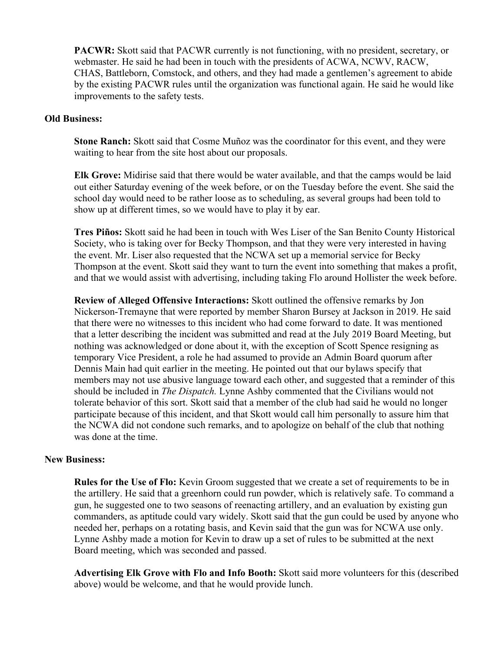**PACWR:** Skott said that PACWR currently is not functioning, with no president, secretary, or webmaster. He said he had been in touch with the presidents of ACWA, NCWV, RACW, CHAS, Battleborn, Comstock, and others, and they had made a gentlemen's agreement to abide by the existing PACWR rules until the organization was functional again. He said he would like improvements to the safety tests.

## **Old Business:**

**Stone Ranch:** Skott said that Cosme Muñoz was the coordinator for this event, and they were waiting to hear from the site host about our proposals.

**Elk Grove:** Midirise said that there would be water available, and that the camps would be laid out either Saturday evening of the week before, or on the Tuesday before the event. She said the school day would need to be rather loose as to scheduling, as several groups had been told to show up at different times, so we would have to play it by ear.

**Tres Piños:** Skott said he had been in touch with Wes Liser of the San Benito County Historical Society, who is taking over for Becky Thompson, and that they were very interested in having the event. Mr. Liser also requested that the NCWA set up a memorial service for Becky Thompson at the event. Skott said they want to turn the event into something that makes a profit, and that we would assist with advertising, including taking Flo around Hollister the week before.

**Review of Alleged Offensive Interactions:** Skott outlined the offensive remarks by Jon Nickerson-Tremayne that were reported by member Sharon Bursey at Jackson in 2019. He said that there were no witnesses to this incident who had come forward to date. It was mentioned that a letter describing the incident was submitted and read at the July 2019 Board Meeting, but nothing was acknowledged or done about it, with the exception of Scott Spence resigning as temporary Vice President, a role he had assumed to provide an Admin Board quorum after Dennis Main had quit earlier in the meeting. He pointed out that our bylaws specify that members may not use abusive language toward each other, and suggested that a reminder of this should be included in *The Dispatch.* Lynne Ashby commented that the Civilians would not tolerate behavior of this sort. Skott said that a member of the club had said he would no longer participate because of this incident, and that Skott would call him personally to assure him that the NCWA did not condone such remarks, and to apologize on behalf of the club that nothing was done at the time.

## **New Business:**

**Rules for the Use of Flo:** Kevin Groom suggested that we create a set of requirements to be in the artillery. He said that a greenhorn could run powder, which is relatively safe. To command a gun, he suggested one to two seasons of reenacting artillery, and an evaluation by existing gun commanders, as aptitude could vary widely. Skott said that the gun could be used by anyone who needed her, perhaps on a rotating basis, and Kevin said that the gun was for NCWA use only. Lynne Ashby made a motion for Kevin to draw up a set of rules to be submitted at the next Board meeting, which was seconded and passed.

**Advertising Elk Grove with Flo and Info Booth:** Skott said more volunteers for this (described above) would be welcome, and that he would provide lunch.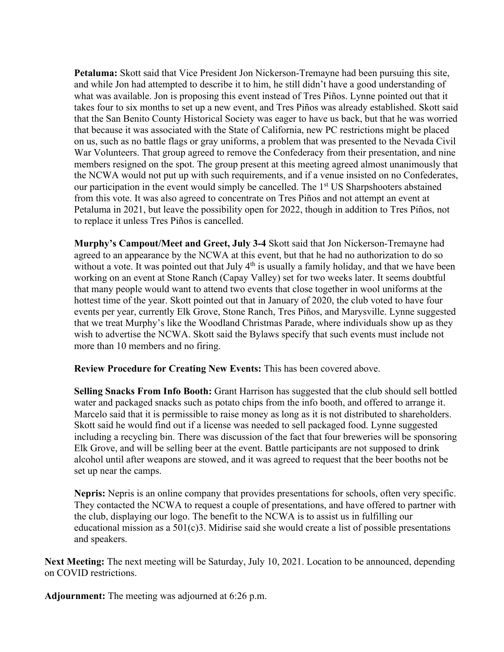**Petaluma:** Skott said that Vice President Jon Nickerson-Tremayne had been pursuing this site, and while Jon had attempted to describe it to him, he still didn't have a good understanding of what was available. Jon is proposing this event instead of Tres Piños. Lynne pointed out that it takes four to six months to set up a new event, and Tres Piños was already established. Skott said that the San Benito County Historical Society was eager to have us back, but that he was worried that because it was associated with the State of California, new PC restrictions might be placed on us, such as no battle flags or gray uniforms, a problem that was presented to the Nevada Civil War Volunteers. That group agreed to remove the Confederacy from their presentation, and nine members resigned on the spot. The group present at this meeting agreed almost unanimously that the NCWA would not put up with such requirements, and if a venue insisted on no Confederates, our participation in the event would simply be cancelled. The 1<sup>st</sup> US Sharpshooters abstained from this vote. It was also agreed to concentrate on Tres Piños and not attempt an event at Petaluma in 2021, but leave the possibility open for 2022, though in addition to Tres Piños, not to replace it unless Tres Piños is cancelled.

**Murphy's Campout/Meet and Greet, July 3-4** Skott said that Jon Nickerson-Tremayne had agreed to an appearance by the NCWA at this event, but that he had no authorization to do so without a vote. It was pointed out that July  $4<sup>th</sup>$  is usually a family holiday, and that we have been working on an event at Stone Ranch (Capay Valley) set for two weeks later. It seems doubtful that many people would want to attend two events that close together in wool uniforms at the hottest time of the year. Skott pointed out that in January of 2020, the club voted to have four events per year, currently Elk Grove, Stone Ranch, Tres Piños, and Marysville. Lynne suggested that we treat Murphy's like the Woodland Christmas Parade, where individuals show up as they wish to advertise the NCWA. Skott said the Bylaws specify that such events must include not more than 10 members and no firing.

**Review Procedure for Creating New Events:** This has been covered above.

**Selling Snacks From Info Booth:** Grant Harrison has suggested that the club should sell bottled water and packaged snacks such as potato chips from the info booth, and offered to arrange it. Marcelo said that it is permissible to raise money as long as it is not distributed to shareholders. Skott said he would find out if a license was needed to sell packaged food. Lynne suggested including a recycling bin. There was discussion of the fact that four breweries will be sponsoring Elk Grove, and will be selling beer at the event. Battle participants are not supposed to drink alcohol until after weapons are stowed, and it was agreed to request that the beer booths not be set up near the camps.

**Nepris:** Nepris is an online company that provides presentations for schools, often very specific. They contacted the NCWA to request a couple of presentations, and have offered to partner with the club, displaying our logo. The benefit to the NCWA is to assist us in fulfilling our educational mission as a 501(c)3. Midirise said she would create a list of possible presentations and speakers.

**Next Meeting:** The next meeting will be Saturday, July 10, 2021. Location to be announced, depending on COVID restrictions.

**Adjournment:** The meeting was adjourned at 6:26 p.m.